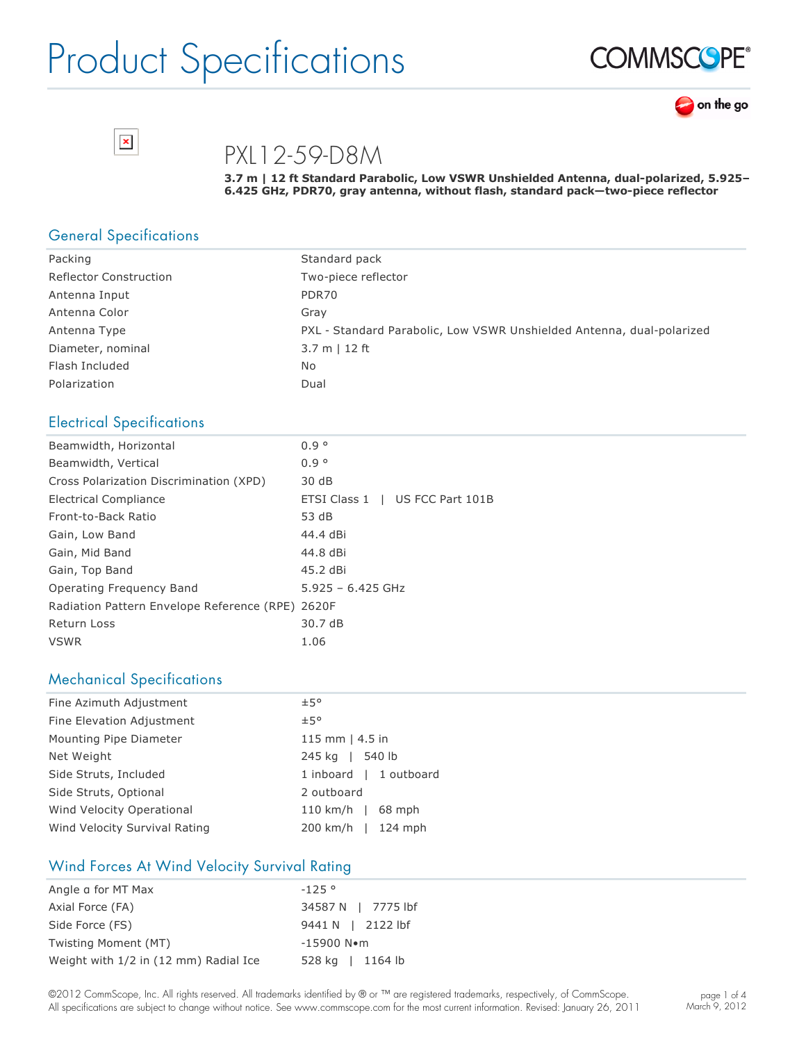





PXL12-59-D8M

**3.7 m | 12 ft Standard Parabolic, Low VSWR Unshielded Antenna, dualpolarized, 5.925–** 6.425 GHz, PDR70, gray antenna, without flash, standard pack-two-piece reflector

#### General Specifications

| Packing                       | Standard pack                                                         |
|-------------------------------|-----------------------------------------------------------------------|
| <b>Reflector Construction</b> | Two-piece reflector                                                   |
| Antenna Input                 | PDR70                                                                 |
| Antenna Color                 | Grav                                                                  |
| Antenna Type                  | PXL - Standard Parabolic, Low VSWR Unshielded Antenna, dual-polarized |
| Diameter, nominal             | $3.7 m$   12 ft                                                       |
| Flash Included                | No                                                                    |
| Polarization                  | Dual                                                                  |

#### Electrical Specifications

| 0.9°                                             |
|--------------------------------------------------|
| 0.9°                                             |
| 30 dB                                            |
| ETSI Class 1   US FCC Part 101B                  |
| 53 dB                                            |
| 44.4 dBi                                         |
| 44.8 dBi                                         |
| 45.2 dBi                                         |
| $5.925 - 6.425$ GHz                              |
| Radiation Pattern Envelope Reference (RPE) 2620F |
| 30.7 dB                                          |
| 1.06                                             |
|                                                  |

#### Mechanical Specifications

| Fine Azimuth Adjustment       | ±5°                    |
|-------------------------------|------------------------|
| Fine Elevation Adjustment     | ±5°                    |
| Mounting Pipe Diameter        | 115 mm $ $ 4.5 in      |
| Net Weight                    | 245 kg   540 lb        |
| Side Struts, Included         | 1 inboard   1 outboard |
| Side Struts, Optional         | 2 outboard             |
| Wind Velocity Operational     | 110 km/h   $68$ mph    |
| Wind Velocity Survival Rating | 200 km/h   124 mph     |

#### Wind Forces At Wind Velocity Survival Rating

| Angle a for MT Max                    | $-125°$                |
|---------------------------------------|------------------------|
| Axial Force (FA)                      | 34587 N   7775 lbf     |
| Side Force (FS)                       | 9441 N   2122 lbf      |
| Twisting Moment (MT)                  | $-15900$ N $\bullet$ m |
| Weight with 1/2 in (12 mm) Radial Ice | 528 kg   1164 lb       |

©2012 CommScope, Inc. All rights reserved. All trademarks identified by ® or ™ are registered trademarks, respectively, of CommScope. All specifications are subject to change without notice. See www.commscope.com for the most current information. Revised: January 26, 2011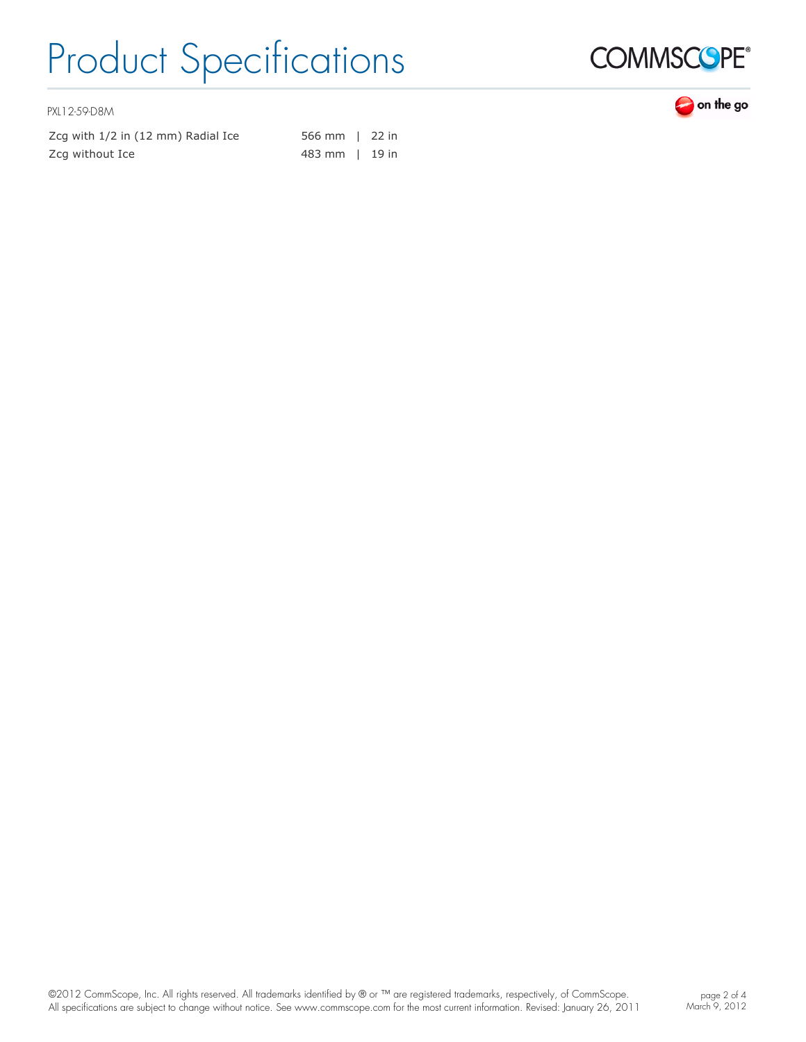

PXL12-59-D8M

Zcg with 1/2 in (12 mm) Radial Ice 566 mm | 22 in Zcg without Ice **483 mm** | 19 in

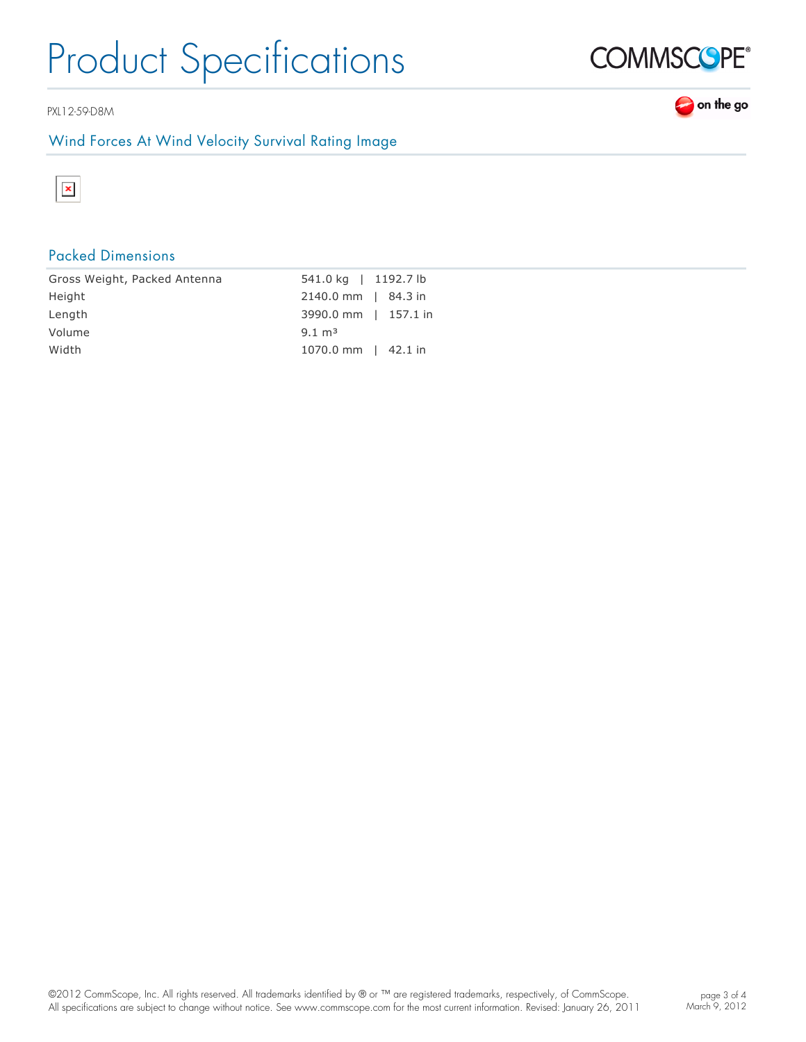PXL12-59-D8M

### Wind Forces At Wind Velocity Survival Rating Image



## Packed Dimensions

| Gross Weight, Packed Antenna | 541.0 kg   1192.7 lb  |
|------------------------------|-----------------------|
| Height                       | 2140.0 mm   84.3 in   |
| Length                       | 3990.0 mm   157.1 in  |
| Volume                       | $9.1 \text{ m}^3$     |
| Width                        | $1070.0$ mm   42.1 in |